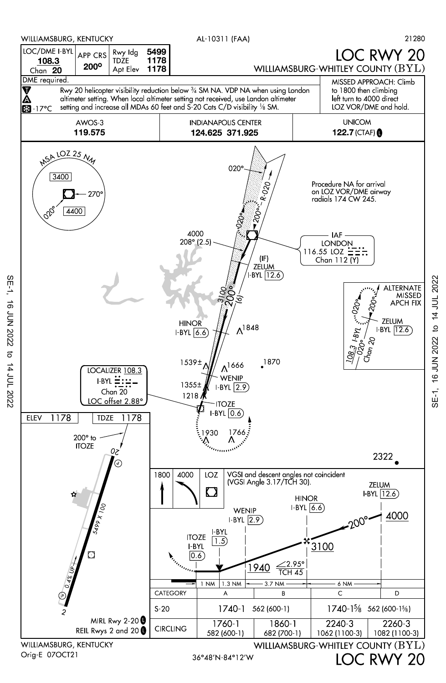

 $SE-1$ 

**16 JUN 2022** 

 $\sigma$ 

14 JUL 2022

to 14 JUL 2022 SE-1, 16 JUN 2022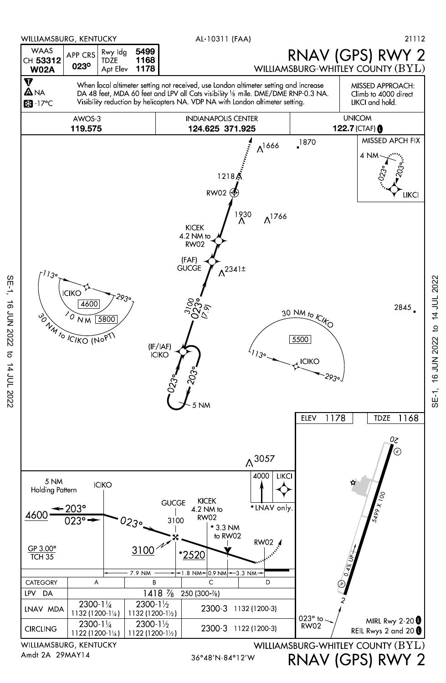

to 14 JUL 2022 SE-1, 16 JUN 2022

SE-1,

16 JUN 2022

14 JUL 2022

36°48'N 84°12'W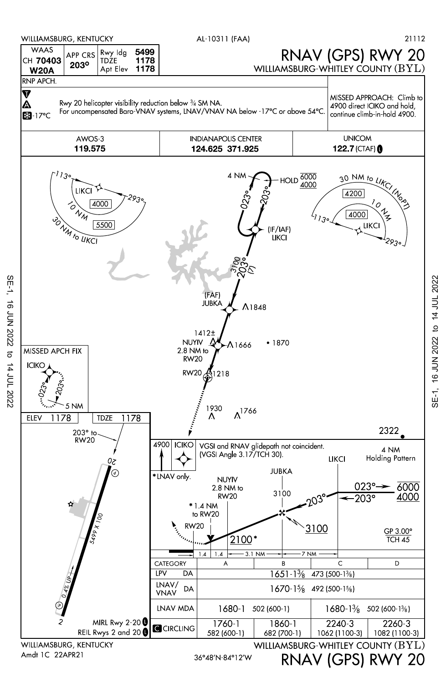

SE-1, 16 JUN 2022 to 14 JUL 2022

 $\overline{c}$ 

14 JUL 2022

**16 JUN 2022** 

 $SE-1$ 

SE-1, 16 JUN 2022 to 14 JUL 2022 SE-1, 16 JUN 2022 to 14 JUL 2022

RNAV (GPS) RWY 20